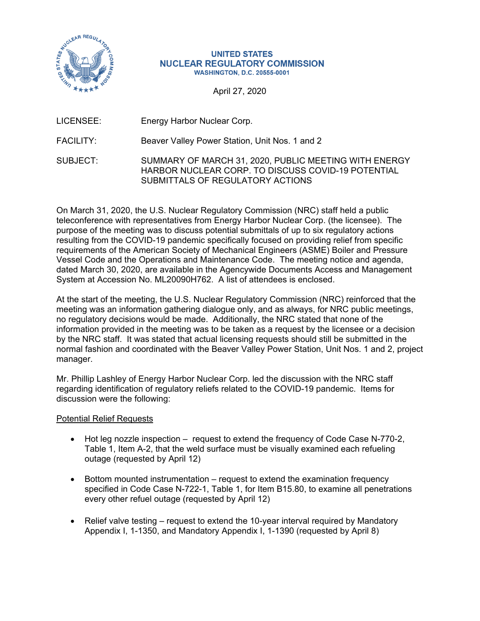

#### **UNITED STATES NUCLEAR REGULATORY COMMISSION WASHINGTON, D.C. 20555-0001**

April 27, 2020

LICENSEE: Energy Harbor Nuclear Corp.

FACILITY: Beaver Valley Power Station, Unit Nos. 1 and 2

SUBJECT: SUMMARY OF MARCH 31, 2020, PUBLIC MEETING WITH ENERGY HARBOR NUCLEAR CORP. TO DISCUSS COVID-19 POTENTIAL SUBMITTALS OF REGULATORY ACTIONS

On March 31, 2020, the U.S. Nuclear Regulatory Commission (NRC) staff held a public teleconference with representatives from Energy Harbor Nuclear Corp. (the licensee). The purpose of the meeting was to discuss potential submittals of up to six regulatory actions resulting from the COVID-19 pandemic specifically focused on providing relief from specific requirements of the American Society of Mechanical Engineers (ASME) Boiler and Pressure Vessel Code and the Operations and Maintenance Code. The meeting notice and agenda, dated March 30, 2020, are available in the Agencywide Documents Access and Management System at Accession No. ML20090H762. A list of attendees is enclosed.

At the start of the meeting, the U.S. Nuclear Regulatory Commission (NRC) reinforced that the meeting was an information gathering dialogue only, and as always, for NRC public meetings, no regulatory decisions would be made. Additionally, the NRC stated that none of the information provided in the meeting was to be taken as a request by the licensee or a decision by the NRC staff. It was stated that actual licensing requests should still be submitted in the normal fashion and coordinated with the Beaver Valley Power Station, Unit Nos. 1 and 2, project manager.

Mr. Phillip Lashley of Energy Harbor Nuclear Corp. led the discussion with the NRC staff regarding identification of regulatory reliefs related to the COVID-19 pandemic. Items for discussion were the following:

Potential Relief Requests

- Hot leg nozzle inspection request to extend the frequency of Code Case N-770-2, Table 1, Item A-2, that the weld surface must be visually examined each refueling outage (requested by April 12)
- Bottom mounted instrumentation request to extend the examination frequency specified in Code Case N-722-1, Table 1, for Item B15.80, to examine all penetrations every other refuel outage (requested by April 12)
- Relief valve testing request to extend the 10-year interval required by Mandatory Appendix I, 1-1350, and Mandatory Appendix I, 1-1390 (requested by April 8)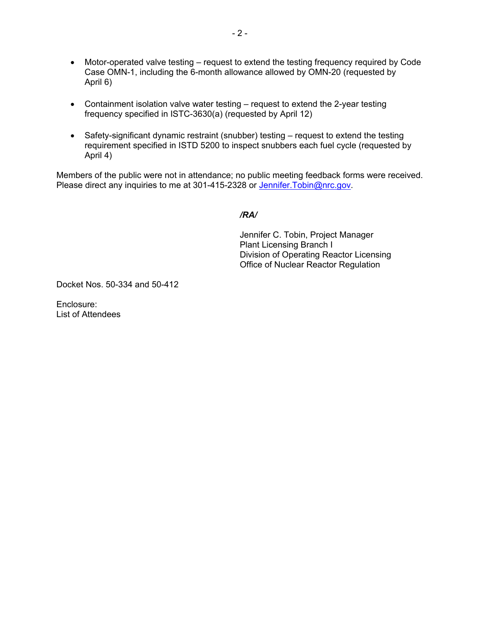- Motor-operated valve testing request to extend the testing frequency required by Code Case OMN-1, including the 6-month allowance allowed by OMN-20 (requested by April 6)
- Containment isolation valve water testing request to extend the 2-year testing frequency specified in ISTC-3630(a) (requested by April 12)
- Safety-significant dynamic restraint (snubber) testing request to extend the testing requirement specified in ISTD 5200 to inspect snubbers each fuel cycle (requested by April 4)

Members of the public were not in attendance; no public meeting feedback forms were received. Please direct any inquiries to me at 301-415-2328 or Jennifer. Tobin@nrc.gov.

*/RA/* 

Jennifer C. Tobin, Project Manager Plant Licensing Branch I Division of Operating Reactor Licensing Office of Nuclear Reactor Regulation

Docket Nos. 50-334 and 50-412

Enclosure: List of Attendees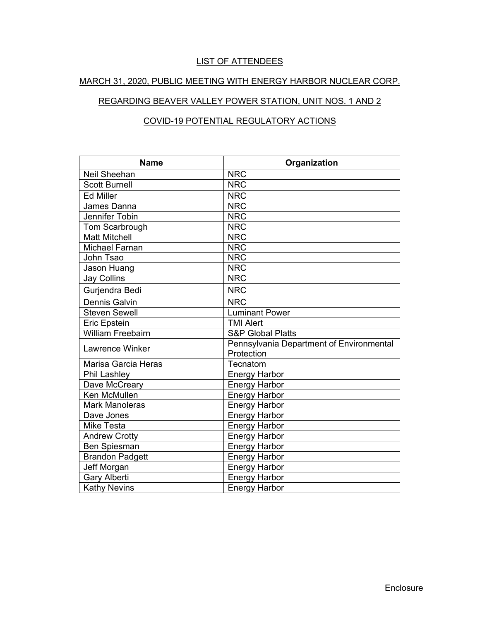# LIST OF ATTENDEES

### MARCH 31, 2020, PUBLIC MEETING WITH ENERGY HARBOR NUCLEAR CORP.

# REGARDING BEAVER VALLEY POWER STATION, UNIT NOS. 1 AND 2

## COVID-19 POTENTIAL REGULATORY ACTIONS

| <b>Name</b>              | Organization                                           |  |  |
|--------------------------|--------------------------------------------------------|--|--|
| <b>Neil Sheehan</b>      | <b>NRC</b>                                             |  |  |
| <b>Scott Burnell</b>     | <b>NRC</b>                                             |  |  |
| <b>Ed Miller</b>         | <b>NRC</b>                                             |  |  |
| James Danna              | <b>NRC</b>                                             |  |  |
| Jennifer Tobin           | <b>NRC</b>                                             |  |  |
| Tom Scarbrough           | <b>NRC</b>                                             |  |  |
| <b>Matt Mitchell</b>     | <b>NRC</b>                                             |  |  |
| <b>Michael Farnan</b>    | <b>NRC</b>                                             |  |  |
| John Tsao                | <b>NRC</b>                                             |  |  |
| Jason Huang              | <b>NRC</b>                                             |  |  |
| <b>Jay Collins</b>       | <b>NRC</b>                                             |  |  |
| Gurjendra Bedi           | <b>NRC</b>                                             |  |  |
| <b>Dennis Galvin</b>     | <b>NRC</b>                                             |  |  |
| <b>Steven Sewell</b>     | <b>Luminant Power</b>                                  |  |  |
| <b>Eric Epstein</b>      | <b>TMI Alert</b>                                       |  |  |
| <b>William Freebairn</b> | <b>S&amp;P Global Platts</b>                           |  |  |
| Lawrence Winker          | Pennsylvania Department of Environmental<br>Protection |  |  |
| Marisa Garcia Heras      | Tecnatom                                               |  |  |
| Phil Lashley             | <b>Energy Harbor</b>                                   |  |  |
| Dave McCreary            | <b>Energy Harbor</b>                                   |  |  |
| <b>Ken McMullen</b>      | <b>Energy Harbor</b>                                   |  |  |
| <b>Mark Manoleras</b>    | <b>Energy Harbor</b>                                   |  |  |
| Dave Jones               | <b>Energy Harbor</b>                                   |  |  |
| <b>Mike Testa</b>        | <b>Energy Harbor</b>                                   |  |  |
| <b>Andrew Crotty</b>     | <b>Energy Harbor</b>                                   |  |  |
| Ben Spiesman             | <b>Energy Harbor</b>                                   |  |  |
| <b>Brandon Padgett</b>   | <b>Energy Harbor</b>                                   |  |  |
| Jeff Morgan              | <b>Energy Harbor</b>                                   |  |  |
| <b>Gary Alberti</b>      | <b>Energy Harbor</b>                                   |  |  |
| <b>Kathy Nevins</b>      | <b>Energy Harbor</b>                                   |  |  |